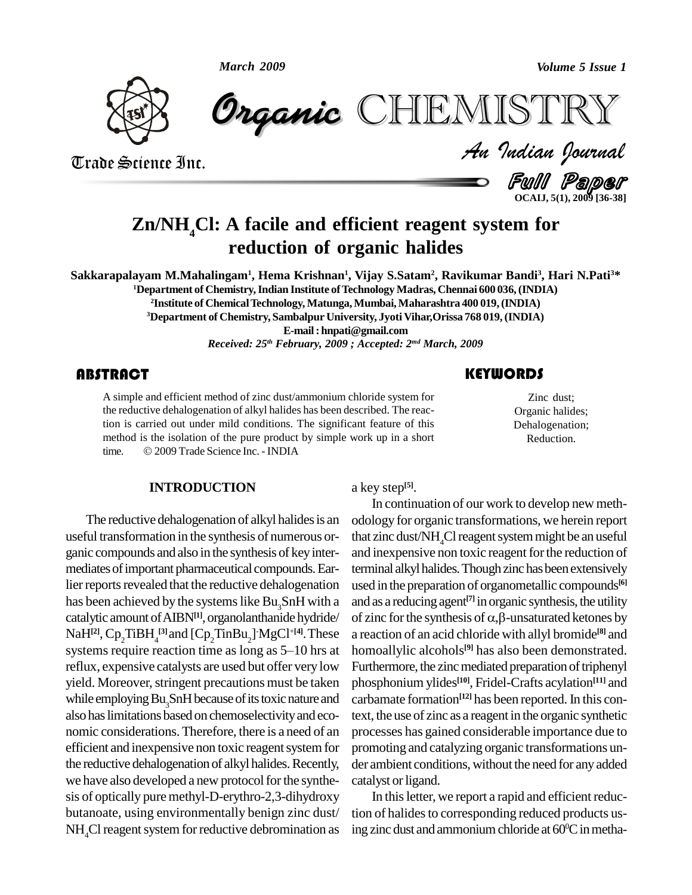

*Volume 5 Issue 1*<br> $\begin{array}{l} \blacksquare \begin{array}{l} \blacksquare \ \blacksquare \end{array} \end{array}$   $\begin{array}{l} \blacksquare \begin{array}{l} \blacksquare \end{array}$ CHEMISTRY

Trade Science Inc. Trade Science Inc.

Zinc dust;<br>Organic halides;<br>Dehalogenation; Zinc dust; Organic halides;

**KEYWORDS** 

Reduction.

Full Paper **OCAIJ, 5(1), 2009 [36-38]**

# **Zn/NH4Cl: A facile and efficient reagent system for reduction of organic halides**

Sakkarapalayam M.Mahalingam<sup>1</sup>, Hema Krishnan<sup>1</sup>, Vijay S.Satam<sup>2</sup>, Ravikumar Bandi<sup>3</sup>, Hari N.Pati<sup>3\*</sup>

**<sup>1</sup>Department of Chemistry,Indian Institute ofTechnology Madras, Chennai 600 036,(INDIA)**

**<sup>2</sup>Institute of ChemicalTechnology, Matunga,Mumbai,Maharashtra 400 019,(INDIA) <sup>3</sup>Department of Chemistry, Sambalpur University, JyotiVihar,Orissa 768 019,(INDIA)**

**E-mail: [hnpati@gmail.com](mailto:hnpati@gmail.com)**

*Received: 25 th February, 2009 ; Accepted: 2 md March, 2009*

# **ABSTRACT**

A simple and efficient n<br>the reductive dehalogen<br>tion is carried out unde A simple and efficient method of zinc dust/ammonium chloride system for the reductive dehalogenation of alkyl halides has been described. The reaction is carried out under mild conditions. The significant feature of this method is the isolation of the pure product by simple work up in a short tion is carried out under mild conditions. The significal<br>method is the isolation of the pure product by simple w<br>time. © 2009 Trade Science Inc. - INDIA

## **INTRODUCTION**

The reductive dehalogenation of alkyl halides is an useful transformation in the synthesis of numerous or ganic compounds and also in the synthesis of keyinter mediates of important pharmaceutical compounds. Earlier reports revealed that the reductive dehalogenation catalytic amount ofAIBN**[1]**, organolanthanide hydride/  $\text{NaH}^{[2]}$ ,  $\text{Cp}_2 \text{TiBH}_4^{[3]}$  and  $\text{[Cp}_2 \text{TinBu}_2\text{]}$   $\text{MgCl}^{+[4]}$ . These a react systems require reaction time as long as 5-10 hrs at reflux, expensive catalysts are used but offer very low yield. Moreover, stringent precautions must be taken while employing Bu<sub>2</sub>SnH because of its toxic nature and also haslimitations based on chemoselectivityand eco nomic considerations.Therefore, there is a need of an efficient and inexpensive non toxic reagent system for the reductive dehalogenation of alkyl halides. Recently, we have also developed a new protocol for the synthesis of optically pure methyl-D-erythro-2,3-dihydroxy butanoate, using environmentally benign zinc dust/  $NH<sub>4</sub>Cl$  reagent system for reductive debromination as

a key step **[5]**.

has been achieved by the systems like Bu<sub>3</sub>SnH with a and as a reducing agent<sup>[7]</sup> in organic synthesis, the utility catalytic amount of AIBN<sup>[1]</sup>, organolanthanide hydride/ of zinc for the synthesis of  $\alpha$ , $\beta$ -unsatura In continuation of our work to develop new meth odology for organic transformations, we herein report that zinc dust/NH<sub>4</sub>Cl reagent system might be an useful and inexpensive non toxic reagent for the reduction of terminal alkyl halides. Though zinc has been extensively used in the preparation of organometallic compounds<sup>[6]</sup><br>and as a reducing agent<sup>[7]</sup> in organic synthesis, the utility<br>of zinc for the synthesis of α,β-unsaturated ketones by and as a reducing agent<sup>[7]</sup> in organic synthesis, the utility a reaction of an acid chloride with allyl bromide **[8]** and homoallylic alcohols **[9]** has also been demonstrated. Furthermore, the zinc mediated preparation of triphenyl phosphonium ylides **[10]**, Fridel-Crafts acylation **[11]** and carbamate formation **[12]** has been reported.In this context, the use of zinc as a reagent in the organic synthetic processes has gained considerable importance due to promoting and catalyzing organic transformations un der ambient conditions, without the need for any added catalyst or ligand.

> In this letter, we report a rapid and efficient reduction of halides to corresponding reduced products using zinc dust and ammonium chloride at 60°C in metha-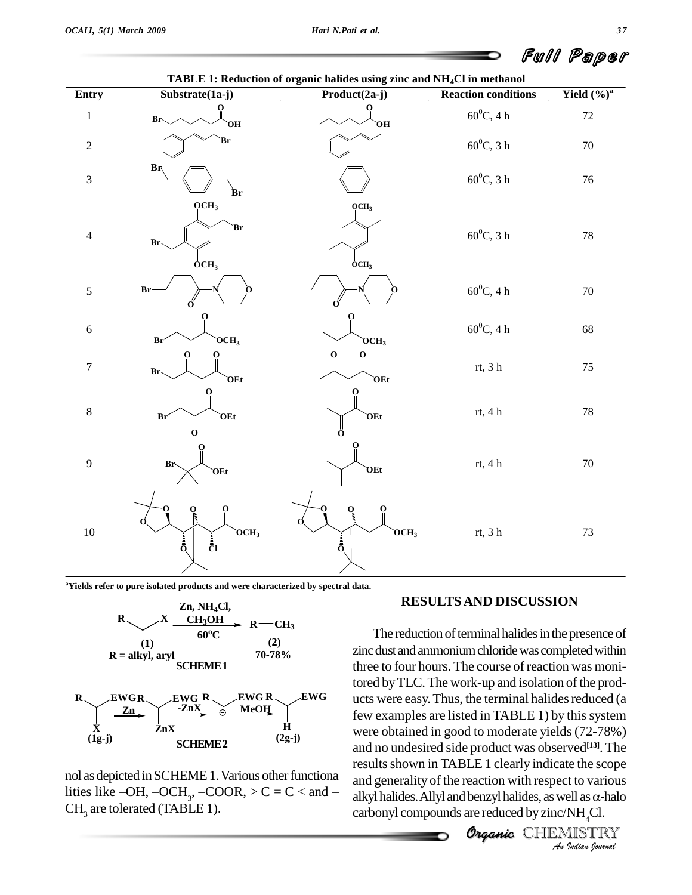| Entry            | Substrate(1a-j)                                                        | TADLE 1. Requestor of organic nations using this and <b>ATIQUE</b> in including<br>Product(2a-j) | <b>Reaction conditions</b> | Yield $(\%)^a$ |
|------------------|------------------------------------------------------------------------|--------------------------------------------------------------------------------------------------|----------------------------|----------------|
| $\,1$            | о<br>$Br_{\sim}$<br>ЮÓ                                                 | 0<br>Ю                                                                                           | $60^0\mathrm{C}, 4$ h      | $72\,$         |
| $\sqrt{2}$       | `Br                                                                    |                                                                                                  | $60^0C$ , 3 h              | $70\,$         |
| $\overline{3}$   | Br<br>Br                                                               |                                                                                                  | $60^0C$ , 3 h              | $76\,$         |
| $\overline{4}$   | OCH <sub>3</sub><br>Br<br>Br <sub>o</sub><br>$\overline{OCH}_3$        | OCH <sub>3</sub><br>OCH <sub>3</sub>                                                             | $60^0C$ , 3 h              | $78\,$         |
| 5                | Br                                                                     |                                                                                                  | $60^0C, 4~\rm{h}$          | $70\,$         |
| $\sqrt{6}$       | $OCH_3$<br>Br'                                                         | OCH <sub>3</sub>                                                                                 | $60^0C, 4\ h$              | 68             |
| $\boldsymbol{7}$ | О<br>Br-<br>OEt                                                        | О<br>OEt                                                                                         | rt, 3 $\mathbf h$          | $75\,$         |
| $\,$ 8 $\,$      | OEt<br>Br<br>റ                                                         | OEt<br>Ő                                                                                         | rt, 4 $\rm h$              | $78\,$         |
| 9                | Br.<br>OEt                                                             | OEt                                                                                              | rt, 4 h                    | $70\,$         |
| $10\,$           | O<br>$OCH_3$<br>$\frac{1}{\overline{0}}$<br>$\frac{1}{\overline{C}}$ l | $\int_{\frac{1}{2}}$<br>0<br>$OCH_3$<br>$\frac{1}{\bar{0}}$                                      | rt, 3 $\mathbf h$          | $73\,$         |

**TABLE 1: Reduction of organic halides using zinc and NH4Cl in methanol**

**<sup>a</sup>Yields refer to pure isolated products and were characterized by spectral data.**



| EWGR<br>Zn | EWG R<br>ZnX<br>⊕ | EWG R<br>EWG<br><b>MeOH</b> |
|------------|-------------------|-----------------------------|
| $(1g-j)$   | 7.nX<br>IEME 2.   | н<br>$(2g-j)$               |

nol as depicted in SCHEME 1. Various other functional nol as depicted in SCHEME 1. Various other functiona<br>lities like  $-OH$ ,  $-OCH_3$ ,  $-COOR$ ,  $>C = C <$  and  $-\frac{alkyl}{alkyl}$  $CH<sub>3</sub>$  are tolerated (TABLE 1).

### **RESULTSAND DISCUSSION**

and no undesired side product was observed<sup>[13]</sup>. The *Vecu<sup>125</sup>1*. The<br>*I*e the scope<br>*I*e to various<br>*I*e all as α-halo<br>*NH<sub>4</sub>Cl.*<br>*Iledian Iournal* The reduction of terminal halides in the presence of zinc dust and ammonium chloride was completed within three to four hours. The course of reaction was monitored byTLC. The work-up and isolation of the prod-  $\mathbf{R}$  EWG ucts were easy. Thus, the terminal halides reduced (a few examples are listed in TABLE 1) by this system were obtained in good to moderate yields (72-78%) results shown in TABLE 1 clearly indicate the scope and generality of the reaction with respect to various results shown in TABLE 1 clearly indicate the scope<br>and generality of the reaction with respect to various<br>alkyl halides. Allyl and benzyl halides, as well as  $\alpha$ -halo carbonyl compounds are reduced by zinc/NH<sub>4</sub>Cl.

**CHEMISTRY**